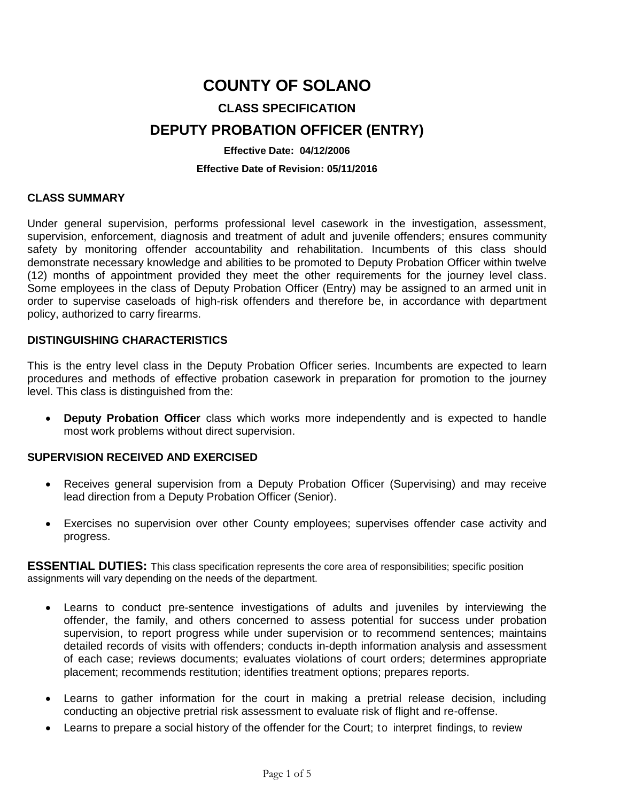## **COUNTY OF SOLANO**

# **CLASS SPECIFICATION**

## **DEPUTY PROBATION OFFICER (ENTRY)**

## **Effective Date: 04/12/2006**

#### **Effective Date of Revision: 05/11/2016**

#### **CLASS SUMMARY**

Under general supervision, performs professional level casework in the investigation, assessment, supervision, enforcement, diagnosis and treatment of adult and juvenile offenders; ensures community safety by monitoring offender accountability and rehabilitation. Incumbents of this class should demonstrate necessary knowledge and abilities to be promoted to Deputy Probation Officer within twelve (12) months of appointment provided they meet the other requirements for the journey level class. Some employees in the class of Deputy Probation Officer (Entry) may be assigned to an armed unit in order to supervise caseloads of high-risk offenders and therefore be, in accordance with department policy, authorized to carry firearms.

## **DISTINGUISHING CHARACTERISTICS**

This is the entry level class in the Deputy Probation Officer series. Incumbents are expected to learn procedures and methods of effective probation casework in preparation for promotion to the journey level. This class is distinguished from the:

 **Deputy Probation Officer** class which works more independently and is expected to handle most work problems without direct supervision.

## **SUPERVISION RECEIVED AND EXERCISED**

- Receives general supervision from a Deputy Probation Officer (Supervising) and may receive lead direction from a Deputy Probation Officer (Senior).
- Exercises no supervision over other County employees; supervises offender case activity and progress.

**ESSENTIAL DUTIES:** This class specification represents the core area of responsibilities; specific position assignments will vary depending on the needs of the department.

- Learns to conduct pre-sentence investigations of adults and juveniles by interviewing the offender, the family, and others concerned to assess potential for success under probation supervision, to report progress while under supervision or to recommend sentences; maintains detailed records of visits with offenders; conducts in-depth information analysis and assessment of each case; reviews documents; evaluates violations of court orders; determines appropriate placement; recommends restitution; identifies treatment options; prepares reports.
- Learns to gather information for the court in making a pretrial release decision, including conducting an objective pretrial risk assessment to evaluate risk of flight and re-offense.
- Learns to prepare a social history of the offender for the Court; to interpret findings, to review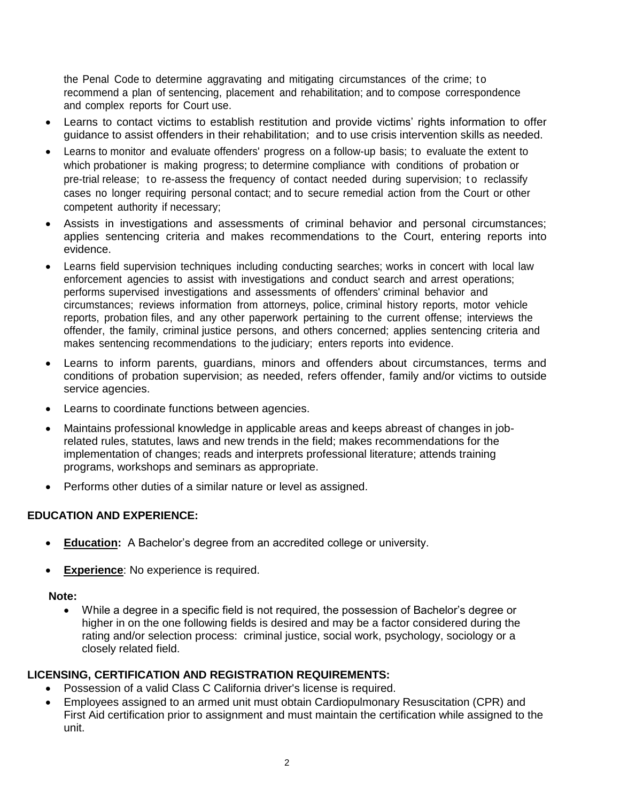the Penal Code to determine aggravating and mitigating circumstances of the crime; to recommend a plan of sentencing, placement and rehabilitation; and to compose correspondence and complex reports for Court use.

- Learns to contact victims to establish restitution and provide victims' rights information to offer guidance to assist offenders in their rehabilitation; and to use crisis intervention skills as needed.
- Learns to monitor and evaluate offenders' progress on a follow-up basis; to evaluate the extent to which probationer is making progress; to determine compliance with conditions of probation or pre-trial release; to re-assess the frequency of contact needed during supervision; to reclassify cases no longer requiring personal contact; and to secure remedial action from the Court or other competent authority if necessary;
- Assists in investigations and assessments of criminal behavior and personal circumstances; applies sentencing criteria and makes recommendations to the Court, entering reports into evidence.
- Learns field supervision techniques including conducting searches; works in concert with local law enforcement agencies to assist with investigations and conduct search and arrest operations; performs supervised investigations and assessments of offenders' criminal behavior and circumstances; reviews information from attorneys, police, criminal history reports, motor vehicle reports, probation files, and any other paperwork pertaining to the current offense; interviews the offender, the family, criminal justice persons, and others concerned; applies sentencing criteria and makes sentencing recommendations to the judiciary; enters reports into evidence.
- Learns to inform parents, guardians, minors and offenders about circumstances, terms and conditions of probation supervision; as needed, refers offender, family and/or victims to outside service agencies.
- Learns to coordinate functions between agencies.
- Maintains professional knowledge in applicable areas and keeps abreast of changes in jobrelated rules, statutes, laws and new trends in the field; makes recommendations for the implementation of changes; reads and interprets professional literature; attends training programs, workshops and seminars as appropriate.
- Performs other duties of a similar nature or level as assigned.

## **EDUCATION AND EXPERIENCE:**

- **Education:** A Bachelor's degree from an accredited college or university.
- **Experience:** No experience is required.

#### **Note:**

 While a degree in a specific field is not required, the possession of Bachelor's degree or higher in on the one following fields is desired and may be a factor considered during the rating and/or selection process: criminal justice, social work, psychology, sociology or a closely related field.

## **LICENSING, CERTIFICATION AND REGISTRATION REQUIREMENTS:**

- Possession of a valid Class C California driver's license is required.
- Employees assigned to an armed unit must obtain Cardiopulmonary Resuscitation (CPR) and First Aid certification prior to assignment and must maintain the certification while assigned to the unit.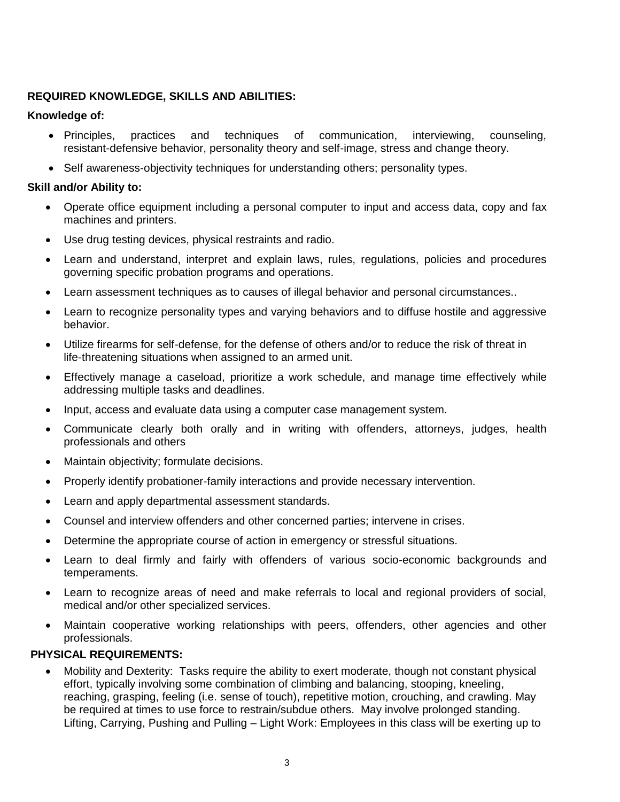## **REQUIRED KNOWLEDGE, SKILLS AND ABILITIES:**

## **Knowledge of:**

- Principles, practices and techniques of communication, interviewing, counseling, resistant-defensive behavior, personality theory and self-image, stress and change theory.
- Self awareness-objectivity techniques for understanding others; personality types.

## **Skill and/or Ability to:**

- Operate office equipment including a personal computer to input and access data, copy and fax machines and printers.
- Use drug testing devices, physical restraints and radio.
- Learn and understand, interpret and explain laws, rules, regulations, policies and procedures governing specific probation programs and operations.
- Learn assessment techniques as to causes of illegal behavior and personal circumstances..
- Learn to recognize personality types and varying behaviors and to diffuse hostile and aggressive behavior.
- Utilize firearms for self-defense, for the defense of others and/or to reduce the risk of threat in life-threatening situations when assigned to an armed unit.
- Effectively manage a caseload, prioritize a work schedule, and manage time effectively while addressing multiple tasks and deadlines.
- Input, access and evaluate data using a computer case management system.
- Communicate clearly both orally and in writing with offenders, attorneys, judges, health professionals and others
- Maintain objectivity; formulate decisions.
- Properly identify probationer-family interactions and provide necessary intervention.
- Learn and apply departmental assessment standards.
- Counsel and interview offenders and other concerned parties; intervene in crises.
- Determine the appropriate course of action in emergency or stressful situations.
- Learn to deal firmly and fairly with offenders of various socio-economic backgrounds and temperaments.
- Learn to recognize areas of need and make referrals to local and regional providers of social, medical and/or other specialized services.
- Maintain cooperative working relationships with peers, offenders, other agencies and other professionals.

## **PHYSICAL REQUIREMENTS:**

 Mobility and Dexterity: Tasks require the ability to exert moderate, though not constant physical effort, typically involving some combination of climbing and balancing, stooping, kneeling, reaching, grasping, feeling (i.e. sense of touch), repetitive motion, crouching, and crawling. May be required at times to use force to restrain/subdue others. May involve prolonged standing. Lifting, Carrying, Pushing and Pulling – Light Work: Employees in this class will be exerting up to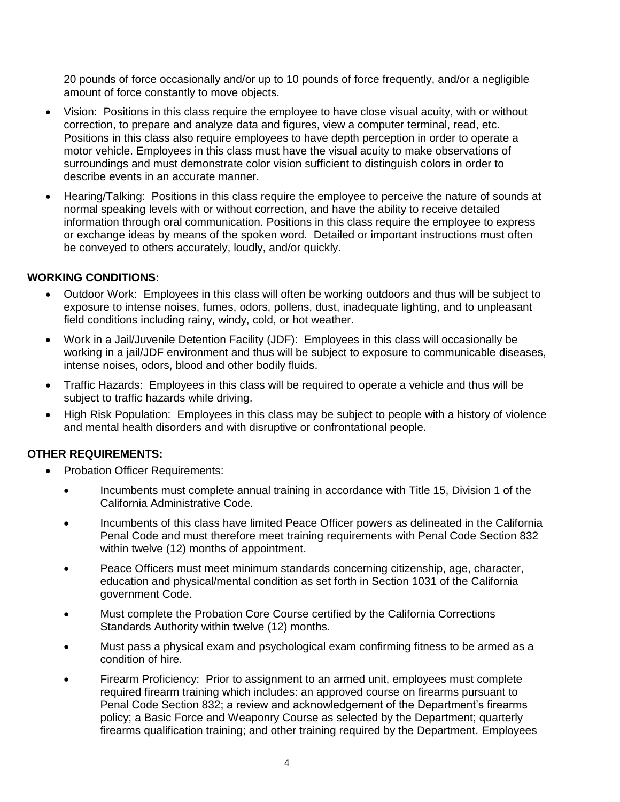20 pounds of force occasionally and/or up to 10 pounds of force frequently, and/or a negligible amount of force constantly to move objects.

- Vision: Positions in this class require the employee to have close visual acuity, with or without correction, to prepare and analyze data and figures, view a computer terminal, read, etc. Positions in this class also require employees to have depth perception in order to operate a motor vehicle. Employees in this class must have the visual acuity to make observations of surroundings and must demonstrate color vision sufficient to distinguish colors in order to describe events in an accurate manner.
- Hearing/Talking: Positions in this class require the employee to perceive the nature of sounds at normal speaking levels with or without correction, and have the ability to receive detailed information through oral communication. Positions in this class require the employee to express or exchange ideas by means of the spoken word. Detailed or important instructions must often be conveyed to others accurately, loudly, and/or quickly.

## **WORKING CONDITIONS:**

- Outdoor Work: Employees in this class will often be working outdoors and thus will be subject to exposure to intense noises, fumes, odors, pollens, dust, inadequate lighting, and to unpleasant field conditions including rainy, windy, cold, or hot weather.
- Work in a Jail/Juvenile Detention Facility (JDF): Employees in this class will occasionally be working in a jail/JDF environment and thus will be subject to exposure to communicable diseases, intense noises, odors, blood and other bodily fluids.
- Traffic Hazards: Employees in this class will be required to operate a vehicle and thus will be subject to traffic hazards while driving.
- High Risk Population: Employees in this class may be subject to people with a history of violence and mental health disorders and with disruptive or confrontational people.

## **OTHER REQUIREMENTS:**

- Probation Officer Requirements:
	- Incumbents must complete annual training in accordance with Title 15, Division 1 of the California Administrative Code.
	- Incumbents of this class have limited Peace Officer powers as delineated in the California Penal Code and must therefore meet training requirements with Penal Code Section 832 within twelve (12) months of appointment.
	- Peace Officers must meet minimum standards concerning citizenship, age, character, education and physical/mental condition as set forth in Section 1031 of the California government Code.
	- Must complete the Probation Core Course certified by the California Corrections Standards Authority within twelve (12) months.
	- Must pass a physical exam and psychological exam confirming fitness to be armed as a condition of hire.
	- Firearm Proficiency: Prior to assignment to an armed unit, employees must complete required firearm training which includes: an approved course on firearms pursuant to Penal Code Section 832; a review and acknowledgement of the Department's firearms policy; a Basic Force and Weaponry Course as selected by the Department; quarterly firearms qualification training; and other training required by the Department. Employees